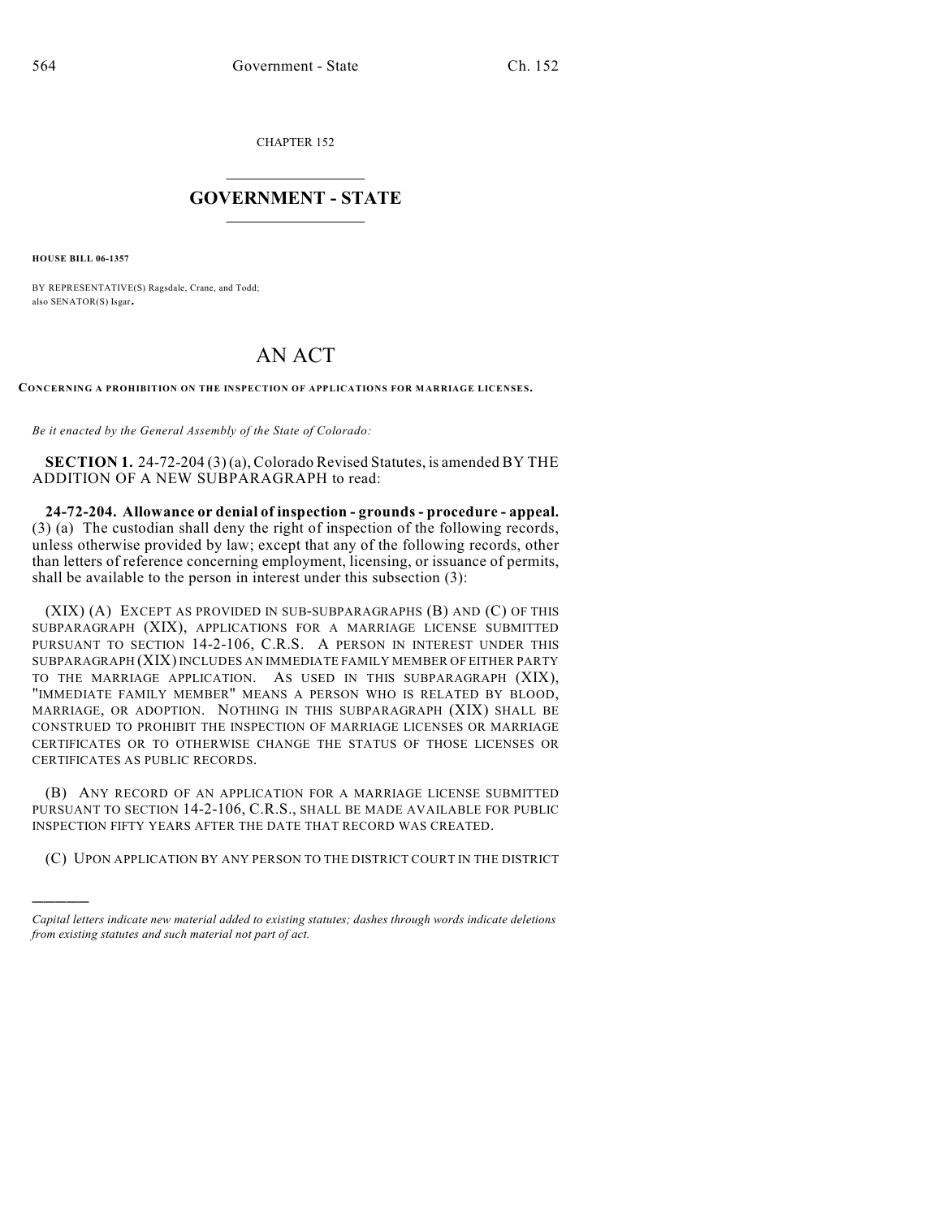CHAPTER 152

## $\overline{\phantom{a}}$  . The set of the set of the set of the set of the set of the set of the set of the set of the set of the set of the set of the set of the set of the set of the set of the set of the set of the set of the set o **GOVERNMENT - STATE**  $\_$

**HOUSE BILL 06-1357**

)))))

BY REPRESENTATIVE(S) Ragsdale, Crane, and Todd; also SENATOR(S) Isgar.

## AN ACT

**CONCERNING A PROHIBITION ON THE INSPECTION OF APPLICATIONS FOR MARRIAGE LICENSES.**

*Be it enacted by the General Assembly of the State of Colorado:*

**SECTION 1.** 24-72-204 (3) (a), Colorado Revised Statutes, is amended BY THE ADDITION OF A NEW SUBPARAGRAPH to read:

**24-72-204. Allowance or denial of inspection - grounds - procedure - appeal.** (3) (a) The custodian shall deny the right of inspection of the following records, unless otherwise provided by law; except that any of the following records, other than letters of reference concerning employment, licensing, or issuance of permits, shall be available to the person in interest under this subsection (3):

(XIX) (A) EXCEPT AS PROVIDED IN SUB-SUBPARAGRAPHS (B) AND (C) OF THIS SUBPARAGRAPH (XIX), APPLICATIONS FOR A MARRIAGE LICENSE SUBMITTED PURSUANT TO SECTION 14-2-106, C.R.S. A PERSON IN INTEREST UNDER THIS SUBPARAGRAPH (XIX) INCLUDES AN IMMEDIATE FAMILY MEMBER OF EITHER PARTY TO THE MARRIAGE APPLICATION. AS USED IN THIS SUBPARAGRAPH (XIX), "IMMEDIATE FAMILY MEMBER" MEANS A PERSON WHO IS RELATED BY BLOOD, MARRIAGE, OR ADOPTION. NOTHING IN THIS SUBPARAGRAPH (XIX) SHALL BE CONSTRUED TO PROHIBIT THE INSPECTION OF MARRIAGE LICENSES OR MARRIAGE CERTIFICATES OR TO OTHERWISE CHANGE THE STATUS OF THOSE LICENSES OR CERTIFICATES AS PUBLIC RECORDS.

(B) ANY RECORD OF AN APPLICATION FOR A MARRIAGE LICENSE SUBMITTED PURSUANT TO SECTION 14-2-106, C.R.S., SHALL BE MADE AVAILABLE FOR PUBLIC INSPECTION FIFTY YEARS AFTER THE DATE THAT RECORD WAS CREATED.

(C) UPON APPLICATION BY ANY PERSON TO THE DISTRICT COURT IN THE DISTRICT

*Capital letters indicate new material added to existing statutes; dashes through words indicate deletions from existing statutes and such material not part of act.*